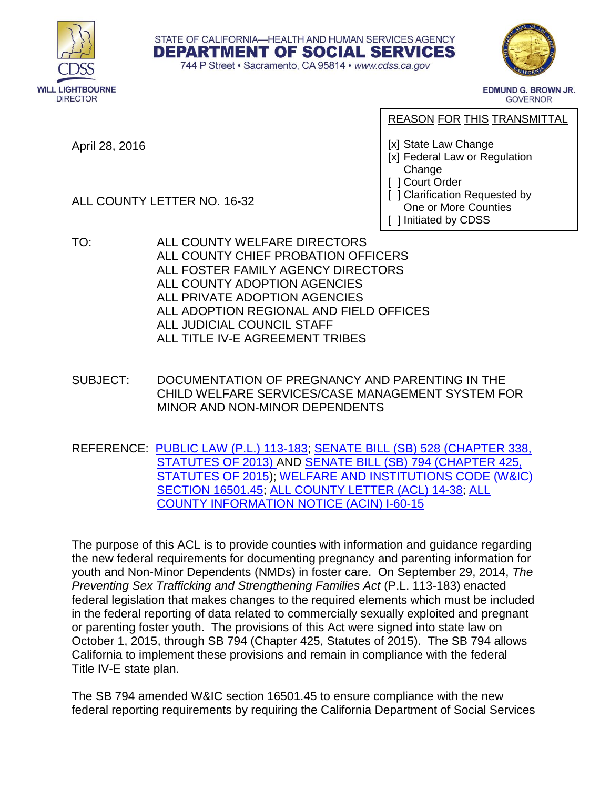





**EDMUND G. BROWN JR. GOVERNOR** 

April 28, 2016

ALL COUNTY LETTER NO. 16-32

REASON FOR THIS TRANSMITTAL

[x] State Law Change

- [x] Federal Law or Regulation Change
- [ ] Court Order
- [ ] Clarification Requested by One or More Counties
- [ ] Initiated by CDSS
- TO: ALL COUNTY WELFARE DIRECTORS ALL COUNTY CHIEF PROBATION OFFICERS ALL FOSTER FAMILY AGENCY DIRECTORS ALL COUNTY ADOPTION AGENCIES ALL PRIVATE ADOPTION AGENCIES ALL ADOPTION REGIONAL AND FIELD OFFICES ALL JUDICIAL COUNCIL STAFF ALL TITLE IV-E AGREEMENT TRIBES
- SUBJECT: DOCUMENTATION OF PREGNANCY AND PARENTING IN THE CHILD WELFARE SERVICES/CASE MANAGEMENT SYSTEM FOR MINOR AND NON-MINOR DEPENDENTS
- REFERENCE: [PUBLIC LAW \(P.L.\) 113-183;](https://www.gpo.gov/fdsys/pkg/PLAW-113publ183/html/PLAW-113publ183.htm) [SENATE BILL \(SB\) 528 \(CHAPTER 338,](http://leginfo.legislature.ca.gov/faces/billNavClient.xhtml?bill_id=201320140SB528)  [STATUTES OF 2013\)](http://leginfo.legislature.ca.gov/faces/billNavClient.xhtml?bill_id=201320140SB528) AND [SENATE BILL \(SB\) 794 \(CHAPTER 425,](http://leginfo.legislature.ca.gov/faces/billNavClient.xhtml?bill_id=201520160SB794)  [STATUTES OF 2015\)](http://leginfo.legislature.ca.gov/faces/billNavClient.xhtml?bill_id=201520160SB794); [WELFARE AND INSTITUTIONS CODE \(W&IC\)](http://leginfo.legislature.ca.gov/faces/codes_displaySection.xhtml?sectionNum=16501.45.&lawCode=WIC)  [SECTION 16501.45;](http://leginfo.legislature.ca.gov/faces/codes_displaySection.xhtml?sectionNum=16501.45.&lawCode=WIC) [ALL COUNTY LETTER \(ACL\) 14-38;](https://www.cdss.ca.gov/lettersnotices/entres/getinfo/acl/2014/14-38.pdf) [ALL](https://www.cdss.ca.gov/lettersnotices/EntRes/getinfo/acin/2015/I-60_15.pdf)  [COUNTY INFORMATION NOTICE \(ACIN\) I-60-15](https://www.cdss.ca.gov/lettersnotices/EntRes/getinfo/acin/2015/I-60_15.pdf)

The purpose of this ACL is to provide counties with information and guidance regarding the new federal requirements for documenting pregnancy and parenting information for youth and Non-Minor Dependents (NMDs) in foster care. On September 29, 2014, *The Preventing Sex Trafficking and Strengthening Families Act* (P.L. 113-183) enacted federal legislation that makes changes to the required elements which must be included in the federal reporting of data related to commercially sexually exploited and pregnant or parenting foster youth. The provisions of this Act were signed into state law on October 1, 2015, through SB 794 (Chapter 425, Statutes of 2015). The SB 794 allows California to implement these provisions and remain in compliance with the federal Title IV-E state plan.

The SB 794 amended W&IC section 16501.45 to ensure compliance with the new federal reporting requirements by requiring the California Department of Social Services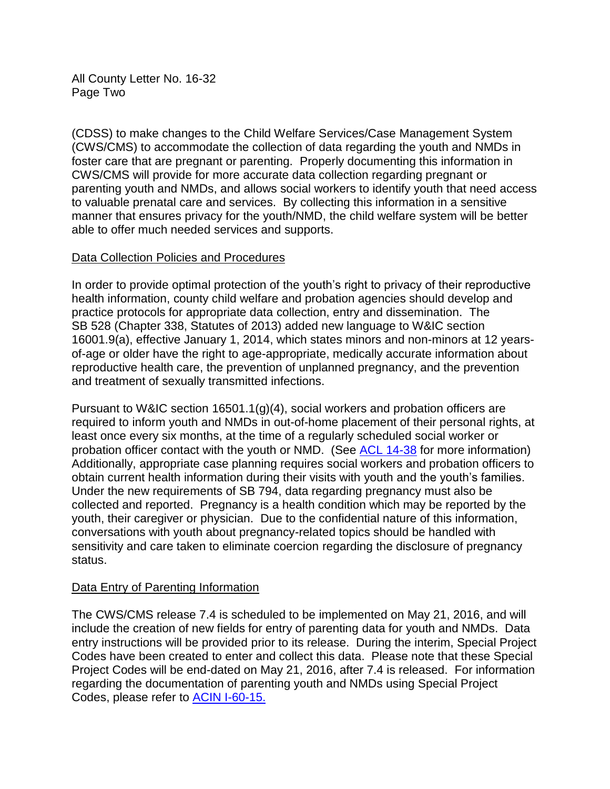All County Letter No. 16-32 Page Two

(CDSS) to make changes to the Child Welfare Services/Case Management System (CWS/CMS) to accommodate the collection of data regarding the youth and NMDs in foster care that are pregnant or parenting. Properly documenting this information in CWS/CMS will provide for more accurate data collection regarding pregnant or parenting youth and NMDs, and allows social workers to identify youth that need access to valuable prenatal care and services. By collecting this information in a sensitive manner that ensures privacy for the youth/NMD, the child welfare system will be better able to offer much needed services and supports.

# Data Collection Policies and Procedures

In order to provide optimal protection of the youth's right to privacy of their reproductive health information, county child welfare and probation agencies should develop and practice protocols for appropriate data collection, entry and dissemination. The SB 528 (Chapter 338, Statutes of 2013) added new language to W&IC section 16001.9(a), effective January 1, 2014, which states minors and non-minors at 12 yearsof-age or older have the right to age-appropriate, medically accurate information about reproductive health care, the prevention of unplanned pregnancy, and the prevention and treatment of sexually transmitted infections.

Pursuant to W&IC section 16501.1(g)(4), social workers and probation officers are required to inform youth and NMDs in out-of-home placement of their personal rights, at least once every six months, at the time of a regularly scheduled social worker or probation officer contact with the youth or NMD. (See [ACL 14-38](https://www.cdss.ca.gov/lettersnotices/entres/getinfo/acl/2014/14-38.pdf) for more information) Additionally, appropriate case planning requires social workers and probation officers to obtain current health information during their visits with youth and the youth's families. Under the new requirements of SB 794, data regarding pregnancy must also be collected and reported. Pregnancy is a health condition which may be reported by the youth, their caregiver or physician. Due to the confidential nature of this information, conversations with youth about pregnancy-related topics should be handled with sensitivity and care taken to eliminate coercion regarding the disclosure of pregnancy status.

# Data Entry of Parenting Information

The CWS/CMS release 7.4 is scheduled to be implemented on May 21, 2016, and will include the creation of new fields for entry of parenting data for youth and NMDs. Data entry instructions will be provided prior to its release. During the interim, Special Project Codes have been created to enter and collect this data. Please note that these Special Project Codes will be end-dated on May 21, 2016, after 7.4 is released. For information regarding the documentation of parenting youth and NMDs using Special Project Codes, please refer to [ACIN I-60-15.](https://www.cdss.ca.gov/lettersnotices/EntRes/getinfo/acin/2015/I-60_15.pdf)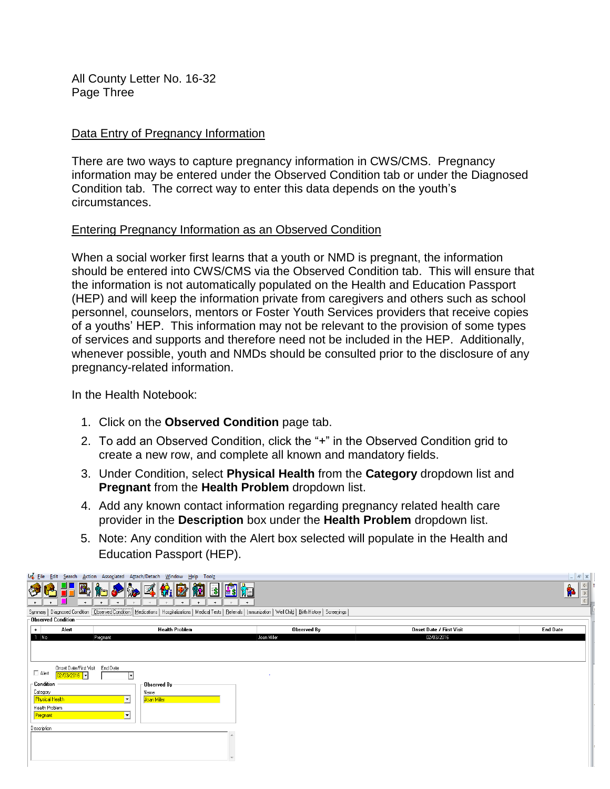All County Letter No. 16-32 Page Three

## Data Entry of Pregnancy Information

There are two ways to capture pregnancy information in CWS/CMS. Pregnancy information may be entered under the Observed Condition tab or under the Diagnosed Condition tab. The correct way to enter this data depends on the youth's circumstances.

#### Entering Pregnancy Information as an Observed Condition

When a social worker first learns that a youth or NMD is pregnant, the information should be entered into CWS/CMS via the Observed Condition tab. This will ensure that the information is not automatically populated on the Health and Education Passport (HEP) and will keep the information private from caregivers and others such as school personnel, counselors, mentors or Foster Youth Services providers that receive copies of a youths' HEP. This information may not be relevant to the provision of some types of services and supports and therefore need not be included in the HEP. Additionally, whenever possible, youth and NMDs should be consulted prior to the disclosure of any pregnancy-related information.

In the Health Notebook:

- 1. Click on the **Observed Condition** page tab.
- 2. To add an Observed Condition, click the "+" in the Observed Condition grid to create a new row, and complete all known and mandatory fields.
- 3. Under Condition, select **Physical Health** from the **Category** dropdown list and **Pregnant** from the **Health Problem** dropdown list.
- 4. Add any known contact information regarding pregnancy related health care provider in the **Description** box under the **Health Problem** dropdown list.
- 5. Note: Any condition with the Alert box selected will populate in the Health and Education Passport (HEP).

|                      |                        | File Edit Search Action Associated Attach/Detach Window Help<br>Toolz                                                                                                    |             |                                 | $  \mathbb{F}$ $\times$                 |
|----------------------|------------------------|--------------------------------------------------------------------------------------------------------------------------------------------------------------------------|-------------|---------------------------------|-----------------------------------------|
| $+$                  | $+$                    | $\hat{\mathbf{w}}_i$<br>淘<br>$\mathbb Z$<br>$\sqrt[3]{2}$<br>$+$<br>$+$<br>$+$<br>$+$<br>$+$                                                                             | 的<br>$+$    |                                 | $\langle \cdot$<br><b>f</b> a<br>$\leq$ |
|                      |                        | Summary   Diagnosed Condition   Observed Condition   Medications   Hospitalizations   Medical Tests   Referrals   Immunization   Well Child   Birth History   Screenings |             |                                 |                                         |
|                      | -Observed Condition -  |                                                                                                                                                                          |             |                                 |                                         |
| $\ddot{\phantom{1}}$ | Alert                  | Health Problem                                                                                                                                                           | Observed By | <b>Onset Date / First Visit</b> | <b>End Date</b>                         |
| $1$ No               |                        | Pregnant                                                                                                                                                                 | Joan Miller | 02/03/2016                      |                                         |
|                      |                        |                                                                                                                                                                          |             |                                 |                                         |
|                      |                        |                                                                                                                                                                          |             |                                 |                                         |
|                      | Onset Date/First Visit | End Date                                                                                                                                                                 |             |                                 |                                         |
| $\Box$ Alert         | $ 02/03/2016 $ -       |                                                                                                                                                                          | $\sim$      |                                 |                                         |
| Condition            |                        | Dbserved By-                                                                                                                                                             |             |                                 |                                         |
| Category             |                        | Name                                                                                                                                                                     |             |                                 |                                         |
|                      | <b>Physical Health</b> | ⊡<br>Joan Miller                                                                                                                                                         |             |                                 |                                         |
| Pregnant             | Health Problem         | ⊡                                                                                                                                                                        |             |                                 |                                         |
|                      |                        |                                                                                                                                                                          |             |                                 |                                         |
| Description          |                        |                                                                                                                                                                          |             |                                 |                                         |
|                      |                        |                                                                                                                                                                          |             |                                 |                                         |
|                      |                        |                                                                                                                                                                          |             |                                 |                                         |
|                      |                        |                                                                                                                                                                          |             |                                 |                                         |
|                      |                        |                                                                                                                                                                          |             |                                 |                                         |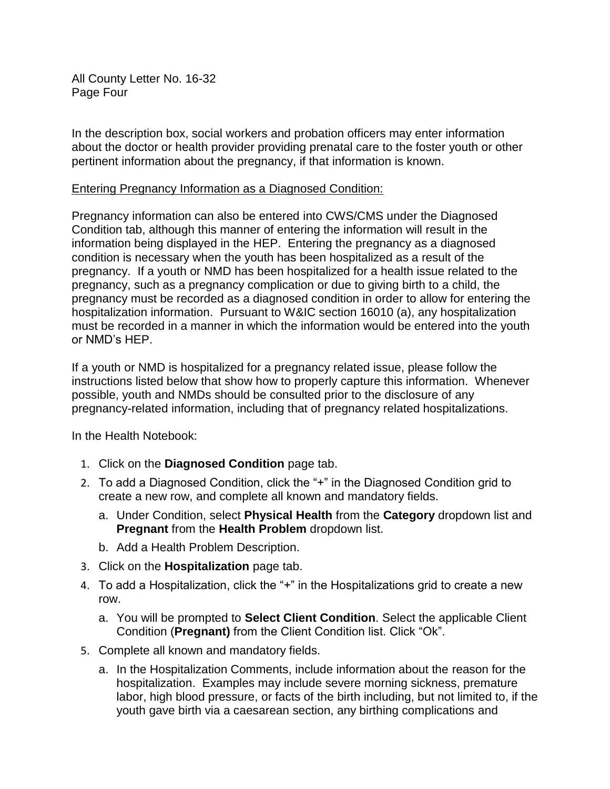All County Letter No. 16-32 Page Four

In the description box, social workers and probation officers may enter information about the doctor or health provider providing prenatal care to the foster youth or other pertinent information about the pregnancy, if that information is known.

## Entering Pregnancy Information as a Diagnosed Condition:

Pregnancy information can also be entered into CWS/CMS under the Diagnosed Condition tab, although this manner of entering the information will result in the information being displayed in the HEP. Entering the pregnancy as a diagnosed condition is necessary when the youth has been hospitalized as a result of the pregnancy. If a youth or NMD has been hospitalized for a health issue related to the pregnancy, such as a pregnancy complication or due to giving birth to a child, the pregnancy must be recorded as a diagnosed condition in order to allow for entering the hospitalization information. Pursuant to W&IC section 16010 (a), any hospitalization must be recorded in a manner in which the information would be entered into the youth or NMD's HEP.

If a youth or NMD is hospitalized for a pregnancy related issue, please follow the instructions listed below that show how to properly capture this information. Whenever possible, youth and NMDs should be consulted prior to the disclosure of any pregnancy-related information, including that of pregnancy related hospitalizations.

In the Health Notebook:

- 1. Click on the **Diagnosed Condition** page tab.
- 2. To add a Diagnosed Condition, click the "+" in the Diagnosed Condition grid to create a new row, and complete all known and mandatory fields.
	- a. Under Condition, select **Physical Health** from the **Category** dropdown list and **Pregnant** from the **Health Problem** dropdown list.
	- b. Add a Health Problem Description.
- 3. Click on the **Hospitalization** page tab.
- 4. To add a Hospitalization, click the "+" in the Hospitalizations grid to create a new row.
	- a. You will be prompted to **Select Client Condition**. Select the applicable Client Condition (**Pregnant)** from the Client Condition list. Click "Ok".
- 5. Complete all known and mandatory fields.
	- a. In the Hospitalization Comments, include information about the reason for the hospitalization. Examples may include severe morning sickness, premature labor, high blood pressure, or facts of the birth including, but not limited to, if the youth gave birth via a caesarean section, any birthing complications and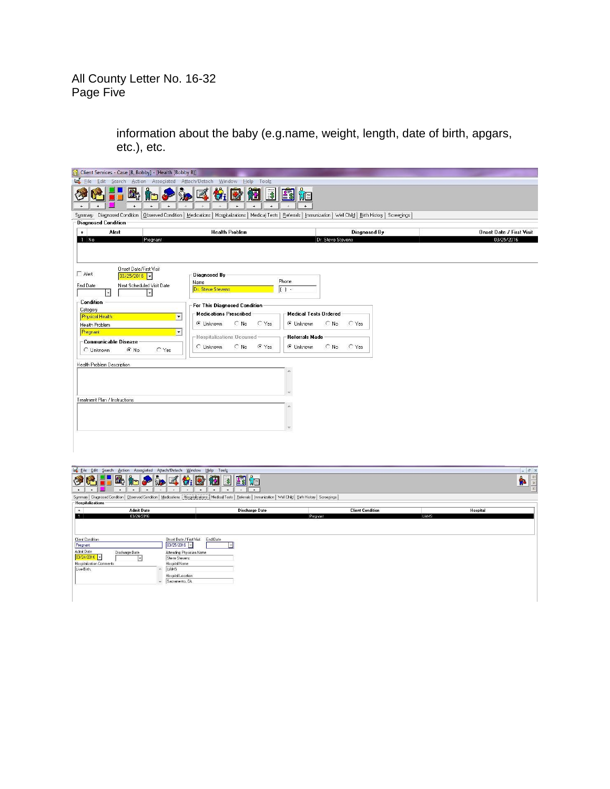All County Letter No. 16-32 Page Five

> information about the baby (e.g.name, weight, length, date of birth, apgars, etc.), etc.

| a<br>Client Services - Case [B, Bobby] - [Health [Bobby B]]                                                                                                            |                                                  |                              |                     |            |                                 |
|------------------------------------------------------------------------------------------------------------------------------------------------------------------------|--------------------------------------------------|------------------------------|---------------------|------------|---------------------------------|
| Le Eile Edit Search Action Associated Attach/Detach Window                                                                                                             | Help Toolz                                       |                              |                     |            |                                 |
| $\ddot{}$<br>$\ddot{}$<br>$+$                                                                                                                                          | 岡<br>$\ddot{}$<br>$\ddot{}$<br>$\ddotmark$       | $+$                          |                     |            |                                 |
| Summary Diagnosed Condition   Observed Condition   Medications   Hospitalizations   Medical Tests   Referrals   Immunization   Well Child   Birth History   Screenings |                                                  |                              |                     |            |                                 |
| <b>Diagnosed Condition</b>                                                                                                                                             |                                                  |                              |                     |            |                                 |
| Alert<br>$\ddot{\phantom{1}}$                                                                                                                                          | <b>Health Problem</b>                            |                              | <b>Diagnosed By</b> |            | <b>Onset Date / First Visit</b> |
| $1$ No<br>Pregnant                                                                                                                                                     |                                                  |                              | Dr. Steve Stevens   | 03/25/2016 |                                 |
| Onset Date/First Visit<br>$\Gamma$ Alert<br>$03/25/2016$ $\cdot$<br>Next Scheduled Visit Date<br>End Date<br>$\left  \cdot \right $<br>$\overline{\phantom{a}}$        | <b>Diagnosed By</b><br>Name<br>Dr. Steve Stevens | Phone<br> 1                  |                     |            |                                 |
| <b>Condition</b>                                                                                                                                                       | For This Diagnosed Condition                     |                              |                     |            |                                 |
| Category<br><b>Physical Health</b>                                                                                                                                     | <b>Medications Prescribed</b>                    | <b>Medical Tests Ordered</b> |                     |            |                                 |
| ×<br>Health Problem                                                                                                                                                    | $C$ Yes<br>$\subset$ No<br>C Unknown             | $\subset$ No<br>C Unknown    | $C$ Yes             |            |                                 |
| $\blacksquare$<br>Pregnant                                                                                                                                             |                                                  |                              |                     |            |                                 |
| - Communicable Disease                                                                                                                                                 | -Hospitalizations Occurred                       | <b>Referrals Made</b>        |                     |            |                                 |
|                                                                                                                                                                        | G Yes<br>$\subset$ No<br>C Unknown               | $\subset N_0$<br>C Unknown   | $C$ Yes             |            |                                 |
| $C$ Yes<br>$C$ No<br>C Unknown                                                                                                                                         |                                                  |                              |                     |            |                                 |
| Health Problem Description                                                                                                                                             |                                                  |                              |                     |            |                                 |
| Treatment Plan / Instructions                                                                                                                                          |                                                  |                              |                     |            |                                 |

| Ò<br>M<br>$+$<br>$+$ $-$                                                                                                                | Le Eile Edit Search Action Associated Attach/Detach Window Help Toolz<br>$+$<br>$+$                                                                                                | 4 个少女系统图 图 图 轴<br>$\pm$<br>$+ +$<br>$+$<br>$+$                                                                                                                           |                         | $ B$ $x$<br>$\frac{1}{\sqrt{2}}$<br><b>fr</b> |
|-----------------------------------------------------------------------------------------------------------------------------------------|------------------------------------------------------------------------------------------------------------------------------------------------------------------------------------|--------------------------------------------------------------------------------------------------------------------------------------------------------------------------|-------------------------|-----------------------------------------------|
|                                                                                                                                         |                                                                                                                                                                                    | Summary   Diagnosed Condition   Observed Condition   Medications   Hospitalizations   Medical Tests   Referrals   Immunization   Well Child   Birth History   Screenings |                         |                                               |
| -Hospitalizations-                                                                                                                      | <b>Admit Date</b>                                                                                                                                                                  | <b>Discharge Date</b>                                                                                                                                                    | <b>Client Condition</b> | <b>Hospital</b>                               |
|                                                                                                                                         | 03/24/2016                                                                                                                                                                         |                                                                                                                                                                          | Pregnant                | <b>UAMS</b>                                   |
| <b>Client Condition</b><br>Pregnant<br>Admit Date<br>Discharge Date<br>$03/24/2016$ -<br><b>Hospitalization Comments</b><br>Live Birth. | Onset Date / First Visit<br>$03/25/2016$ -<br>Attending Physician Name<br>Steve Stevens<br>Hospital Name<br><b>UAMS</b><br>$\sim$<br>Hospital Location<br>Sacramento, CA<br>$\tau$ | End Date                                                                                                                                                                 |                         |                                               |